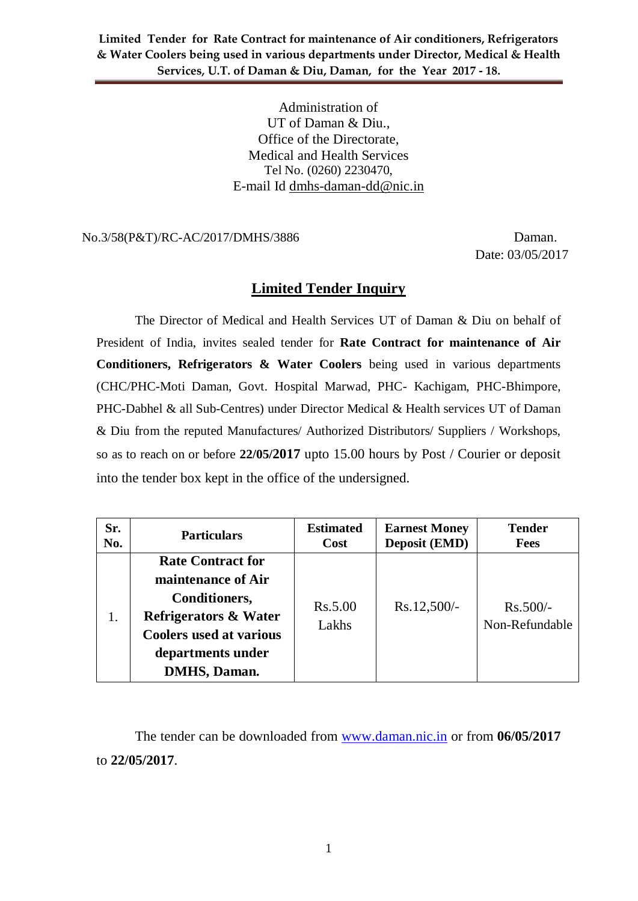> Administration of UT of Daman & Diu., Office of the Directorate, Medical and Health Services Tel No. (0260) 2230470, E-mail Id dmhs-daman-dd@nic.in

No.3/58(P&T)/RC-AC/2017/DMHS/3886 Daman.

Date: 03/05/2017

### **Limited Tender Inquiry**

The Director of Medical and Health Services UT of Daman & Diu on behalf of President of India, invites sealed tender for **Rate Contract for maintenance of Air Conditioners, Refrigerators & Water Coolers** being used in various departments (CHC/PHC-Moti Daman, Govt. Hospital Marwad, PHC- Kachigam, PHC-Bhimpore, PHC-Dabhel & all Sub-Centres) under Director Medical & Health services UT of Daman & Diu from the reputed Manufactures/ Authorized Distributors/ Suppliers / Workshops, so as to reach on or before **22/05/2017** upto 15.00 hours by Post / Courier or deposit into the tender box kept in the office of the undersigned.

| Sr. | <b>Particulars</b>                                                                                                                                                                        | <b>Estimated</b> | <b>Earnest Money</b> | <b>Tender</b>                |
|-----|-------------------------------------------------------------------------------------------------------------------------------------------------------------------------------------------|------------------|----------------------|------------------------------|
| No. |                                                                                                                                                                                           | Cost             | <b>Deposit (EMD)</b> | <b>Fees</b>                  |
|     | <b>Rate Contract for</b><br>maintenance of Air<br><b>Conditioners,</b><br><b>Refrigerators &amp; Water</b><br><b>Coolers used at various</b><br>departments under<br><b>DMHS</b> , Daman. | Rs.5.00<br>Lakhs | $Rs.12,500/-$        | $Rs.500/-$<br>Non-Refundable |

The tender can be downloaded from [www.daman.nic.in](http://www.daman.nic.in/) or from **06/05/2017** to **22/05/2017**.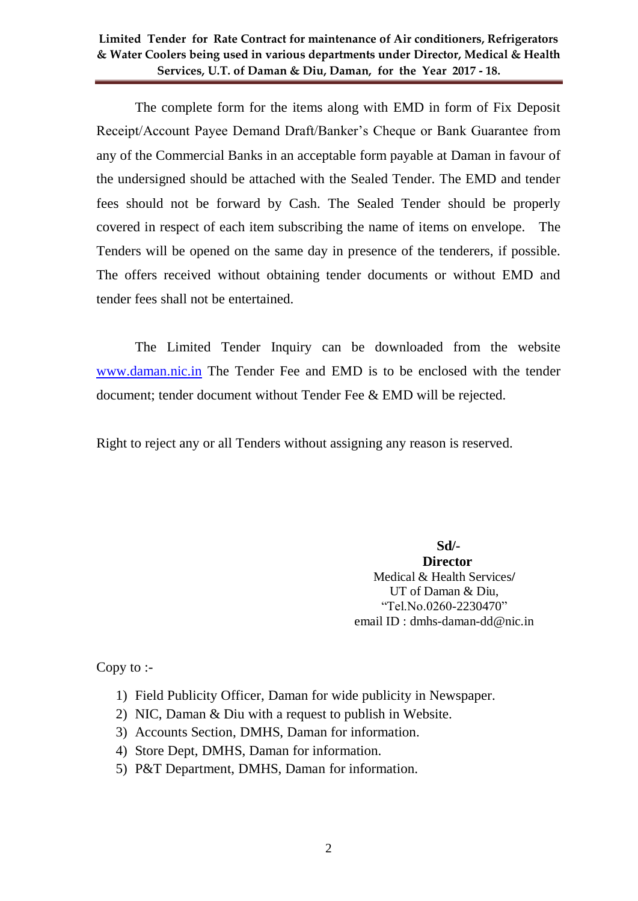The complete form for the items along with EMD in form of Fix Deposit Receipt/Account Payee Demand Draft/Banker's Cheque or Bank Guarantee from any of the Commercial Banks in an acceptable form payable at Daman in favour of the undersigned should be attached with the Sealed Tender. The EMD and tender fees should not be forward by Cash. The Sealed Tender should be properly covered in respect of each item subscribing the name of items on envelope. The Tenders will be opened on the same day in presence of the tenderers, if possible. The offers received without obtaining tender documents or without EMD and tender fees shall not be entertained.

The Limited Tender Inquiry can be downloaded from the website [www.daman.nic.in](http://www.daman.nic.in/) The Tender Fee and EMD is to be enclosed with the tender document; tender document without Tender Fee & EMD will be rejected.

Right to reject any or all Tenders without assigning any reason is reserved.

 **Sd/-**

 **Director** Medical & Health Services**/** UT of Daman & Diu, "Tel.No.0260-2230470" email ID : dmhs-daman-dd@nic.in

Copy to :-

- 1) Field Publicity Officer, Daman for wide publicity in Newspaper.
- 2) NIC, Daman & Diu with a request to publish in Website.
- 3) Accounts Section, DMHS, Daman for information.
- 4) Store Dept, DMHS, Daman for information.
- 5) P&T Department, DMHS, Daman for information.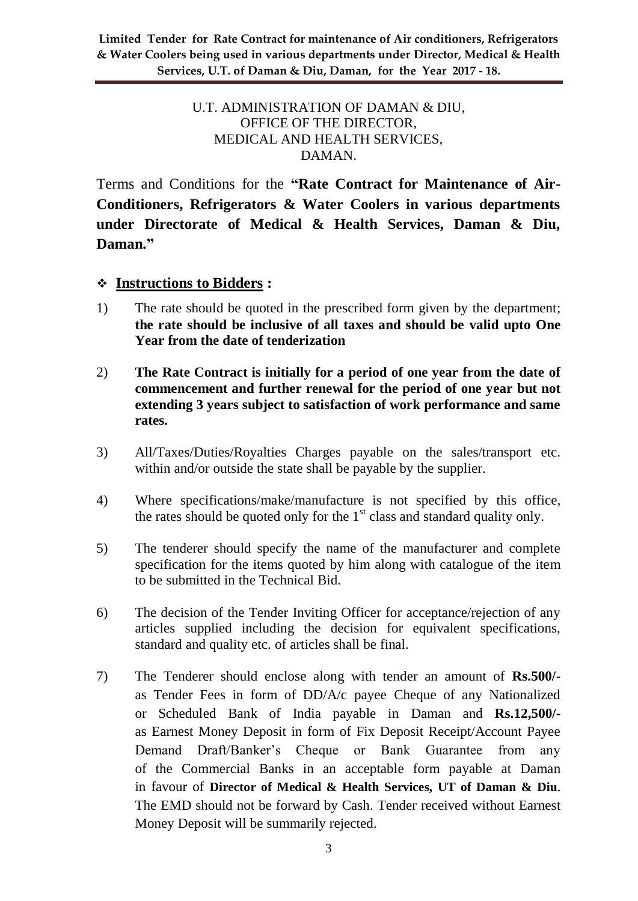### U.T. ADMINISTRATION OF DAMAN & DIU, OFFICE OF THE DIRECTOR, MEDICAL AND HEALTH SERVICES, DAMAN.

Terms and Conditions for the **"Rate Contract for Maintenance of Air-Conditioners, Refrigerators & Water Coolers in various departments under Directorate of Medical & Health Services, Daman & Diu, Daman."**

### **Instructions to Bidders :**

- 1) The rate should be quoted in the prescribed form given by the department; **the rate should be inclusive of all taxes and should be valid upto One Year from the date of tenderization**
- 2) **The Rate Contract is initially for a period of one year from the date of commencement and further renewal for the period of one year but not extending 3 years subject to satisfaction of work performance and same rates.**
- 3) All/Taxes/Duties/Royalties Charges payable on the sales/transport etc. within and/or outside the state shall be payable by the supplier.
- 4) Where specifications/make/manufacture is not specified by this office, the rates should be quoted only for the  $1<sup>st</sup>$  class and standard quality only.
- 5) The tenderer should specify the name of the manufacturer and complete specification for the items quoted by him along with catalogue of the item to be submitted in the Technical Bid.
- 6) The decision of the Tender Inviting Officer for acceptance/rejection of any articles supplied including the decision for equivalent specifications, standard and quality etc. of articles shall be final.
- 7) The Tenderer should enclose along with tender an amount of **Rs.500/** as Tender Fees in form of DD/A/c payee Cheque of any Nationalized or Scheduled Bank of India payable in Daman and **Rs.12,500/** as Earnest Money Deposit in form of Fix Deposit Receipt/Account Payee Demand Draft/Banker's Cheque or Bank Guarantee from any of the Commercial Banks in an acceptable form payable at Daman in favour of **Director of Medical & Health Services, UT of Daman & Diu**. The EMD should not be forward by Cash. Tender received without Earnest Money Deposit will be summarily rejected.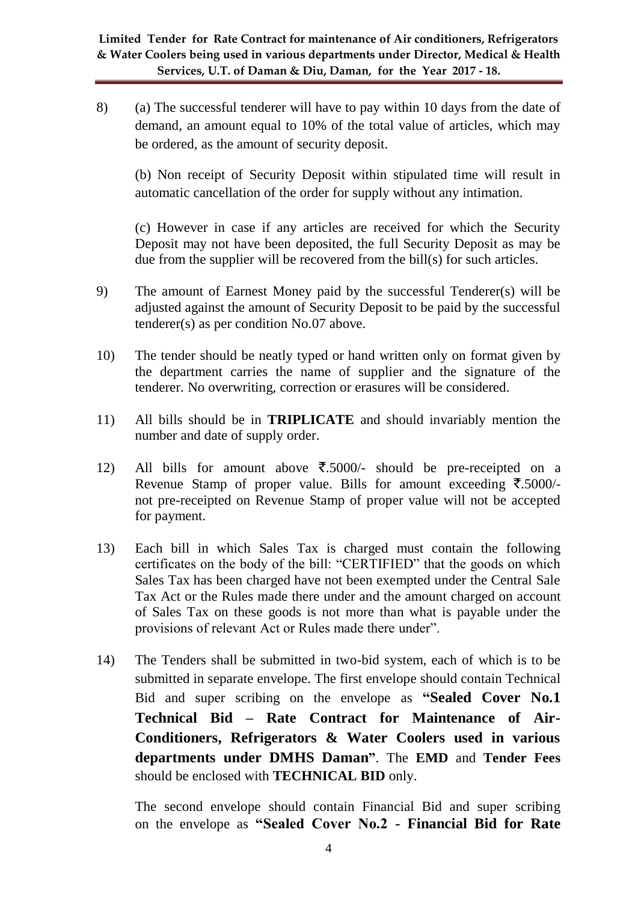8) (a) The successful tenderer will have to pay within 10 days from the date of demand, an amount equal to 10% of the total value of articles, which may be ordered, as the amount of security deposit.

(b) Non receipt of Security Deposit within stipulated time will result in automatic cancellation of the order for supply without any intimation.

(c) However in case if any articles are received for which the Security Deposit may not have been deposited, the full Security Deposit as may be due from the supplier will be recovered from the bill(s) for such articles.

- 9) The amount of Earnest Money paid by the successful Tenderer(s) will be adjusted against the amount of Security Deposit to be paid by the successful tenderer(s) as per condition No.07 above.
- 10) The tender should be neatly typed or hand written only on format given by the department carries the name of supplier and the signature of the tenderer. No overwriting, correction or erasures will be considered.
- 11) All bills should be in **TRIPLICATE** and should invariably mention the number and date of supply order.
- 12) All bills for amount above  $\overline{\xi}$ .5000/- should be pre-receipted on a Revenue Stamp of proper value. Bills for amount exceeding  $\bar{\mathcal{F}}$ .5000/not pre-receipted on Revenue Stamp of proper value will not be accepted for payment.
- 13) Each bill in which Sales Tax is charged must contain the following certificates on the body of the bill: "CERTIFIED" that the goods on which Sales Tax has been charged have not been exempted under the Central Sale Tax Act or the Rules made there under and the amount charged on account of Sales Tax on these goods is not more than what is payable under the provisions of relevant Act or Rules made there under".
- 14) The Tenders shall be submitted in two-bid system, each of which is to be submitted in separate envelope. The first envelope should contain Technical Bid and super scribing on the envelope as **"Sealed Cover No.1 Technical Bid – Rate Contract for Maintenance of Air-Conditioners, Refrigerators & Water Coolers used in various departments under DMHS Daman"**. The **EMD** and **Tender Fees** should be enclosed with **TECHNICAL BID** only.

The second envelope should contain Financial Bid and super scribing on the envelope as **"Sealed Cover No.2 - Financial Bid for Rate**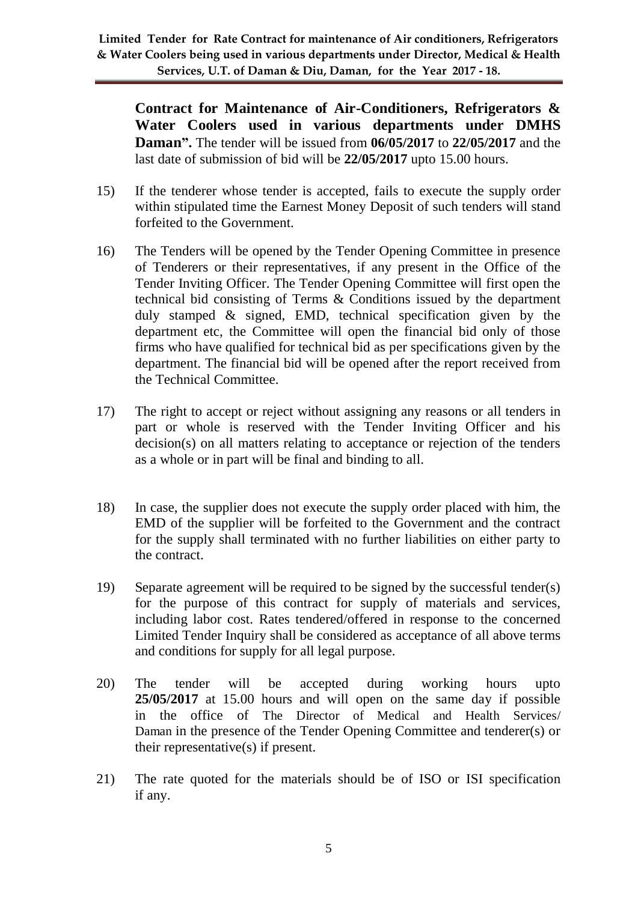**Contract for Maintenance of Air-Conditioners, Refrigerators & Water Coolers used in various departments under DMHS Daman".** The tender will be issued from **06/05/2017** to **22/05/2017** and the last date of submission of bid will be **22/05/2017** upto 15.00 hours.

- 15) If the tenderer whose tender is accepted, fails to execute the supply order within stipulated time the Earnest Money Deposit of such tenders will stand forfeited to the Government.
- 16) The Tenders will be opened by the Tender Opening Committee in presence of Tenderers or their representatives, if any present in the Office of the Tender Inviting Officer. The Tender Opening Committee will first open the technical bid consisting of Terms & Conditions issued by the department duly stamped & signed, EMD, technical specification given by the department etc, the Committee will open the financial bid only of those firms who have qualified for technical bid as per specifications given by the department. The financial bid will be opened after the report received from the Technical Committee.
- 17) The right to accept or reject without assigning any reasons or all tenders in part or whole is reserved with the Tender Inviting Officer and his decision(s) on all matters relating to acceptance or rejection of the tenders as a whole or in part will be final and binding to all.
- 18) In case, the supplier does not execute the supply order placed with him, the EMD of the supplier will be forfeited to the Government and the contract for the supply shall terminated with no further liabilities on either party to the contract.
- 19) Separate agreement will be required to be signed by the successful tender(s) for the purpose of this contract for supply of materials and services, including labor cost. Rates tendered/offered in response to the concerned Limited Tender Inquiry shall be considered as acceptance of all above terms and conditions for supply for all legal purpose.
- 20) The tender will be accepted during working hours upto **25/05/2017** at 15.00 hours and will open on the same day if possible in the office of The Director of Medical and Health Services/ Daman in the presence of the Tender Opening Committee and tenderer(s) or their representative(s) if present.
- 21) The rate quoted for the materials should be of ISO or ISI specification if any.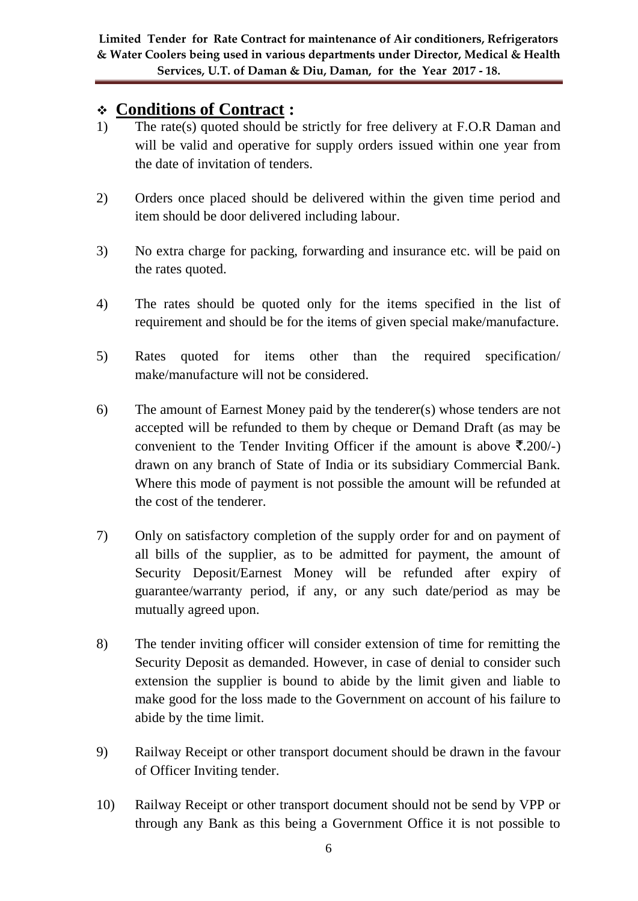# **Conditions of Contract :**

- 1) The rate(s) quoted should be strictly for free delivery at F.O.R Daman and will be valid and operative for supply orders issued within one year from the date of invitation of tenders.
- 2) Orders once placed should be delivered within the given time period and item should be door delivered including labour.
- 3) No extra charge for packing, forwarding and insurance etc. will be paid on the rates quoted.
- 4) The rates should be quoted only for the items specified in the list of requirement and should be for the items of given special make/manufacture.
- 5) Rates quoted for items other than the required specification/ make/manufacture will not be considered.
- 6) The amount of Earnest Money paid by the tenderer(s) whose tenders are not accepted will be refunded to them by cheque or Demand Draft (as may be convenient to the Tender Inviting Officer if the amount is above  $\bar{\mathbf{z}}$ . 200/-) drawn on any branch of State of India or its subsidiary Commercial Bank. Where this mode of payment is not possible the amount will be refunded at the cost of the tenderer.
- 7) Only on satisfactory completion of the supply order for and on payment of all bills of the supplier, as to be admitted for payment, the amount of Security Deposit/Earnest Money will be refunded after expiry of guarantee/warranty period, if any, or any such date/period as may be mutually agreed upon.
- 8) The tender inviting officer will consider extension of time for remitting the Security Deposit as demanded. However, in case of denial to consider such extension the supplier is bound to abide by the limit given and liable to make good for the loss made to the Government on account of his failure to abide by the time limit.
- 9) Railway Receipt or other transport document should be drawn in the favour of Officer Inviting tender.
- 10) Railway Receipt or other transport document should not be send by VPP or through any Bank as this being a Government Office it is not possible to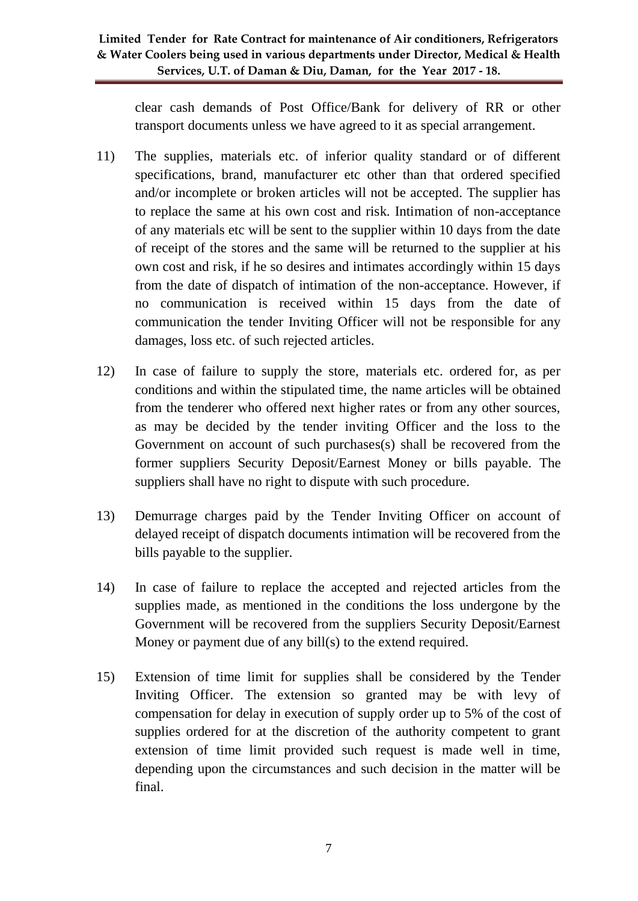clear cash demands of Post Office/Bank for delivery of RR or other transport documents unless we have agreed to it as special arrangement.

- 11) The supplies, materials etc. of inferior quality standard or of different specifications, brand, manufacturer etc other than that ordered specified and/or incomplete or broken articles will not be accepted. The supplier has to replace the same at his own cost and risk. Intimation of non-acceptance of any materials etc will be sent to the supplier within 10 days from the date of receipt of the stores and the same will be returned to the supplier at his own cost and risk, if he so desires and intimates accordingly within 15 days from the date of dispatch of intimation of the non-acceptance. However, if no communication is received within 15 days from the date of communication the tender Inviting Officer will not be responsible for any damages, loss etc. of such rejected articles.
- 12) In case of failure to supply the store, materials etc. ordered for, as per conditions and within the stipulated time, the name articles will be obtained from the tenderer who offered next higher rates or from any other sources, as may be decided by the tender inviting Officer and the loss to the Government on account of such purchases(s) shall be recovered from the former suppliers Security Deposit/Earnest Money or bills payable. The suppliers shall have no right to dispute with such procedure.
- 13) Demurrage charges paid by the Tender Inviting Officer on account of delayed receipt of dispatch documents intimation will be recovered from the bills payable to the supplier.
- 14) In case of failure to replace the accepted and rejected articles from the supplies made, as mentioned in the conditions the loss undergone by the Government will be recovered from the suppliers Security Deposit/Earnest Money or payment due of any bill(s) to the extend required.
- 15) Extension of time limit for supplies shall be considered by the Tender Inviting Officer. The extension so granted may be with levy of compensation for delay in execution of supply order up to 5% of the cost of supplies ordered for at the discretion of the authority competent to grant extension of time limit provided such request is made well in time, depending upon the circumstances and such decision in the matter will be final.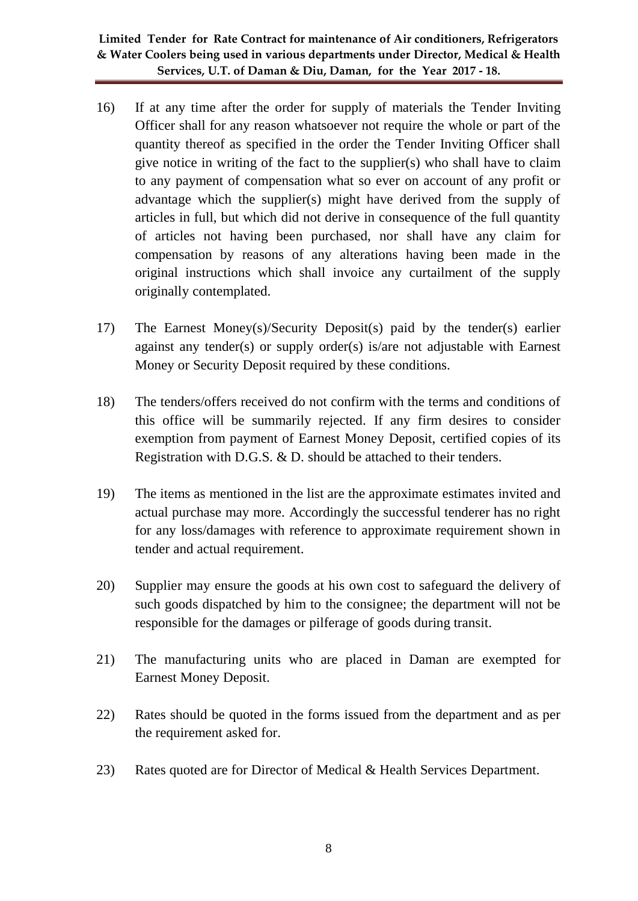- 16) If at any time after the order for supply of materials the Tender Inviting Officer shall for any reason whatsoever not require the whole or part of the quantity thereof as specified in the order the Tender Inviting Officer shall give notice in writing of the fact to the supplier(s) who shall have to claim to any payment of compensation what so ever on account of any profit or advantage which the supplier(s) might have derived from the supply of articles in full, but which did not derive in consequence of the full quantity of articles not having been purchased, nor shall have any claim for compensation by reasons of any alterations having been made in the original instructions which shall invoice any curtailment of the supply originally contemplated.
- 17) The Earnest Money(s)/Security Deposit(s) paid by the tender(s) earlier against any tender(s) or supply order(s) is/are not adjustable with Earnest Money or Security Deposit required by these conditions.
- 18) The tenders/offers received do not confirm with the terms and conditions of this office will be summarily rejected. If any firm desires to consider exemption from payment of Earnest Money Deposit, certified copies of its Registration with D.G.S. & D. should be attached to their tenders.
- 19) The items as mentioned in the list are the approximate estimates invited and actual purchase may more. Accordingly the successful tenderer has no right for any loss/damages with reference to approximate requirement shown in tender and actual requirement.
- 20) Supplier may ensure the goods at his own cost to safeguard the delivery of such goods dispatched by him to the consignee; the department will not be responsible for the damages or pilferage of goods during transit.
- 21) The manufacturing units who are placed in Daman are exempted for Earnest Money Deposit.
- 22) Rates should be quoted in the forms issued from the department and as per the requirement asked for.
- 23) Rates quoted are for Director of Medical & Health Services Department.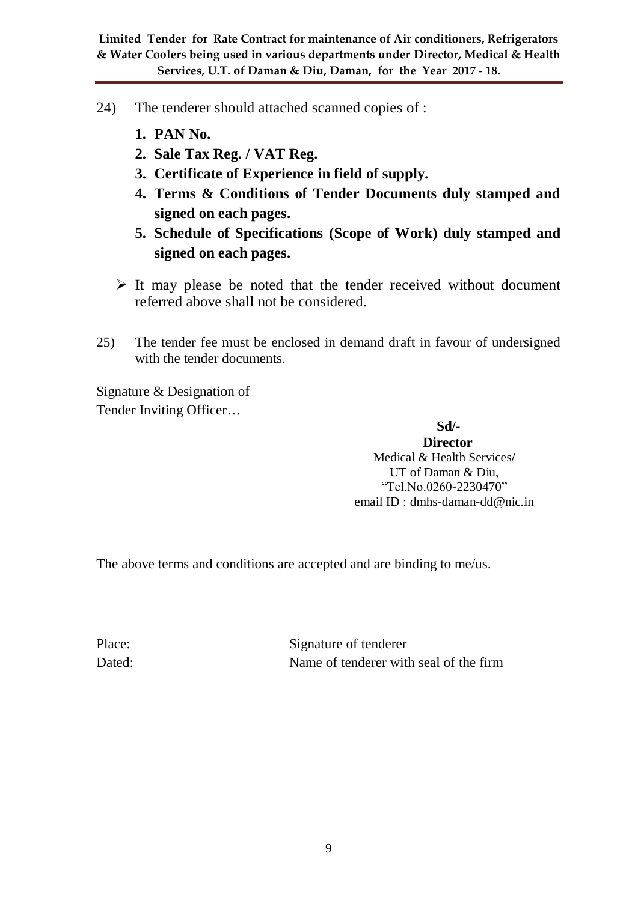- 24) The tenderer should attached scanned copies of :
	- **1. PAN No.**
	- **2. Sale Tax Reg. / VAT Reg.**
	- **3. Certificate of Experience in field of supply.**
	- **4. Terms & Conditions of Tender Documents duly stamped and signed on each pages.**
	- **5. Schedule of Specifications (Scope of Work) duly stamped and signed on each pages.**
	- $\triangleright$  It may please be noted that the tender received without document referred above shall not be considered.
- 25) The tender fee must be enclosed in demand draft in favour of undersigned with the tender documents.

Signature & Designation of Tender Inviting Officer…

 **Sd/-**

**Director** Medical & Health Services**/** UT of Daman & Diu, "Tel.No.0260-2230470" email ID : dmhs-daman-dd@nic.in

The above terms and conditions are accepted and are binding to me/us.

Place: Signature of tenderer Dated: Name of tenderer with seal of the firm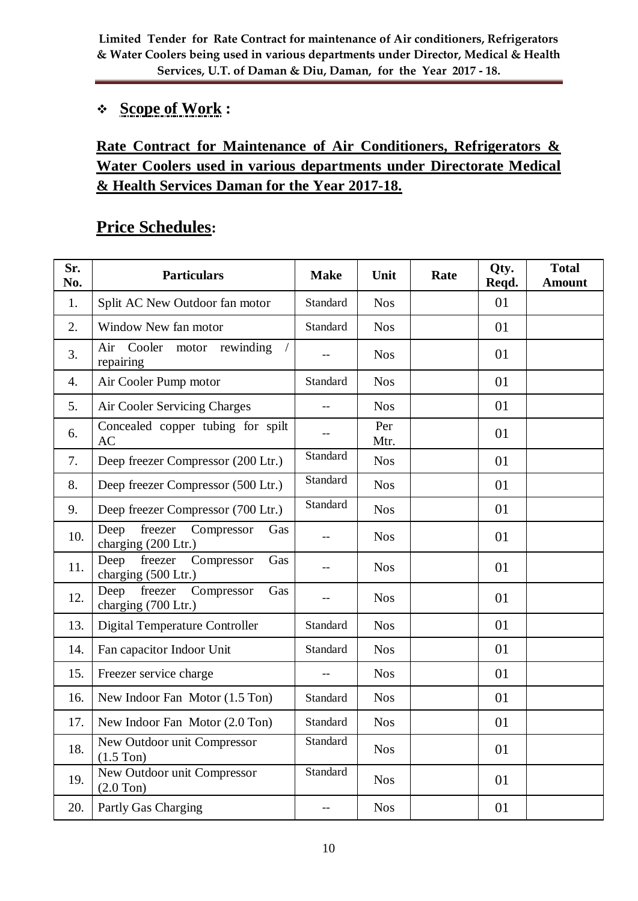## **Scope of Work :**

# **Rate Contract for Maintenance of Air Conditioners, Refrigerators & Water Coolers used in various departments under Directorate Medical & Health Services Daman for the Year 2017-18.**

# **Price Schedules:**

| Sr.<br>No. | <b>Particulars</b>                                          | <b>Make</b> | Unit        | Rate | Qty.<br>Reqd. | <b>Total</b><br><b>Amount</b> |
|------------|-------------------------------------------------------------|-------------|-------------|------|---------------|-------------------------------|
| 1.         | Split AC New Outdoor fan motor                              | Standard    | <b>Nos</b>  |      | 01            |                               |
| 2.         | Window New fan motor                                        | Standard    | <b>Nos</b>  |      | 01            |                               |
| 3.         | rewinding<br>Air<br>Cooler<br>motor<br>repairing            |             | <b>Nos</b>  |      | 01            |                               |
| 4.         | Air Cooler Pump motor                                       | Standard    | <b>Nos</b>  |      | 01            |                               |
| 5.         | Air Cooler Servicing Charges                                |             | <b>Nos</b>  |      | 01            |                               |
| 6.         | Concealed copper tubing for spilt<br><b>AC</b>              | $-$         | Per<br>Mtr. |      | 01            |                               |
| 7.         | Deep freezer Compressor (200 Ltr.)                          | Standard    | <b>Nos</b>  |      | 01            |                               |
| 8.         | Deep freezer Compressor (500 Ltr.)                          | Standard    | <b>Nos</b>  |      | 01            |                               |
| 9.         | Deep freezer Compressor (700 Ltr.)                          | Standard    | <b>Nos</b>  |      | 01            |                               |
| 10.        | freezer<br>Compressor<br>Deep<br>Gas<br>charging (200 Ltr.) |             | <b>Nos</b>  |      | 01            |                               |
| 11.        | freezer<br>Deep<br>Compressor<br>Gas<br>charging (500 Ltr.) |             | <b>Nos</b>  |      | 01            |                               |
| 12.        | freezer<br>Deep<br>Compressor<br>Gas<br>charging (700 Ltr.) |             | <b>Nos</b>  |      | 01            |                               |
| 13.        | <b>Digital Temperature Controller</b>                       | Standard    | <b>Nos</b>  |      | 01            |                               |
| 14.        | Fan capacitor Indoor Unit                                   | Standard    | <b>Nos</b>  |      | 01            |                               |
| 15.        | Freezer service charge                                      |             | <b>Nos</b>  |      | 01            |                               |
| 16.        | New Indoor Fan Motor (1.5 Ton)                              | Standard    | <b>Nos</b>  |      | 01            |                               |
| 17.        | New Indoor Fan Motor (2.0 Ton)                              | Standard    | <b>Nos</b>  |      | 01            |                               |
| 18.        | New Outdoor unit Compressor<br>$(1.5$ Ton)                  | Standard    | <b>Nos</b>  |      | 01            |                               |
| 19.        | New Outdoor unit Compressor<br>$(2.0$ Ton $)$               | Standard    | <b>Nos</b>  |      | 01            |                               |
| 20.        | Partly Gas Charging                                         | $-\,-$      | <b>Nos</b>  |      | 01            |                               |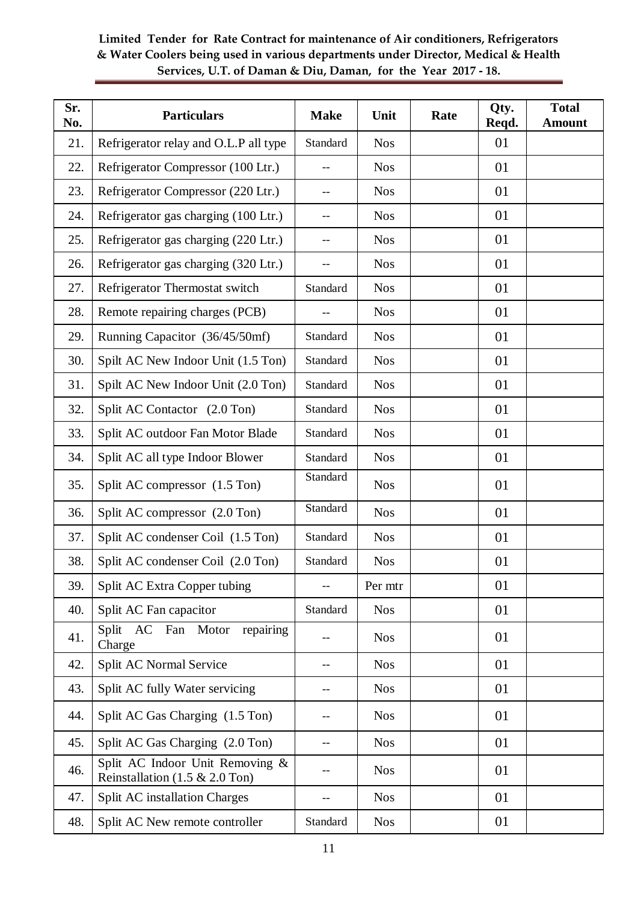| Sr.<br>No. | <b>Particulars</b>                                                   | <b>Make</b>     | Unit       | Rate | Qty.<br>Reqd. | <b>Total</b><br><b>Amount</b> |
|------------|----------------------------------------------------------------------|-----------------|------------|------|---------------|-------------------------------|
| 21.        | Refrigerator relay and O.L.P all type                                | Standard        | <b>Nos</b> |      | 01            |                               |
| 22.        | Refrigerator Compressor (100 Ltr.)                                   |                 | <b>Nos</b> |      | 01            |                               |
| 23.        | Refrigerator Compressor (220 Ltr.)                                   |                 | <b>Nos</b> |      | 01            |                               |
| 24.        | Refrigerator gas charging (100 Ltr.)                                 |                 | <b>Nos</b> |      | 01            |                               |
| 25.        | Refrigerator gas charging (220 Ltr.)                                 |                 | <b>Nos</b> |      | 01            |                               |
| 26.        | Refrigerator gas charging (320 Ltr.)                                 |                 | <b>Nos</b> |      | 01            |                               |
| 27.        | Refrigerator Thermostat switch                                       | Standard        | <b>Nos</b> |      | 01            |                               |
| 28.        | Remote repairing charges (PCB)                                       |                 | <b>Nos</b> |      | 01            |                               |
| 29.        | Running Capacitor (36/45/50mf)                                       | Standard        | <b>Nos</b> |      | 01            |                               |
| 30.        | Spilt AC New Indoor Unit (1.5 Ton)                                   | Standard        | <b>Nos</b> |      | 01            |                               |
| 31.        | Spilt AC New Indoor Unit (2.0 Ton)                                   | Standard        | <b>Nos</b> |      | 01            |                               |
| 32.        | Split AC Contactor (2.0 Ton)                                         | Standard        | <b>Nos</b> |      | 01            |                               |
| 33.        | Split AC outdoor Fan Motor Blade                                     | Standard        | <b>Nos</b> |      | 01            |                               |
| 34.        | Split AC all type Indoor Blower                                      | Standard        | <b>Nos</b> |      | 01            |                               |
| 35.        | Split AC compressor (1.5 Ton)                                        | Standard        | <b>Nos</b> |      | 01            |                               |
| 36.        | Split AC compressor (2.0 Ton)                                        | Standard        | <b>Nos</b> |      | 01            |                               |
| 37.        | Split AC condenser Coil (1.5 Ton)                                    | <b>Standard</b> | <b>Nos</b> |      | 01            |                               |
| 38.        | Split AC condenser Coil (2.0 Ton)                                    | Standard        | <b>Nos</b> |      | 01            |                               |
| 39.        | Split AC Extra Copper tubing                                         |                 | Per mtr    |      | 01            |                               |
| 40.        | Split AC Fan capacitor                                               | Standard        | <b>Nos</b> |      | 01            |                               |
| 41.        | Split AC Fan Motor<br>repairing<br>Charge                            |                 | <b>Nos</b> |      | 01            |                               |
| 42.        | Split AC Normal Service                                              |                 | <b>Nos</b> |      | 01            |                               |
| 43.        | Split AC fully Water servicing                                       |                 | <b>Nos</b> |      | 01            |                               |
| 44.        | Split AC Gas Charging (1.5 Ton)                                      |                 | <b>Nos</b> |      | 01            |                               |
| 45.        | Split AC Gas Charging (2.0 Ton)                                      |                 | <b>Nos</b> |      | 01            |                               |
| 46.        | Split AC Indoor Unit Removing &<br>Reinstallation $(1.5 \& 2.0$ Ton) |                 | <b>Nos</b> |      | 01            |                               |
| 47.        | <b>Split AC</b> installation Charges                                 | --              | <b>Nos</b> |      | 01            |                               |
| 48.        | Split AC New remote controller                                       | Standard        | <b>Nos</b> |      | 01            |                               |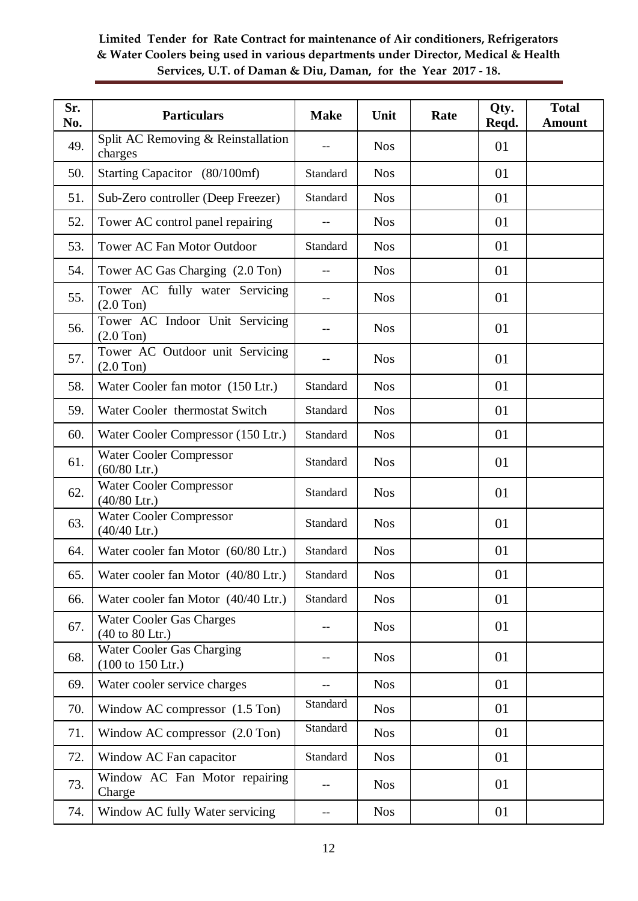| Sr.<br>No. | <b>Particulars</b>                                                       | <b>Make</b> | Unit       | Rate | Qty.<br>Reqd. | <b>Total</b><br><b>Amount</b> |
|------------|--------------------------------------------------------------------------|-------------|------------|------|---------------|-------------------------------|
| 49.        | Split AC Removing & Reinstallation<br>charges                            |             | <b>Nos</b> |      | 01            |                               |
| 50.        | Starting Capacitor (80/100mf)                                            | Standard    | <b>Nos</b> |      | 01            |                               |
| 51.        | Sub-Zero controller (Deep Freezer)                                       | Standard    | <b>Nos</b> |      | 01            |                               |
| 52.        | Tower AC control panel repairing                                         |             | <b>Nos</b> |      | 01            |                               |
| 53.        | <b>Tower AC Fan Motor Outdoor</b>                                        | Standard    | <b>Nos</b> |      | 01            |                               |
| 54.        | Tower AC Gas Charging (2.0 Ton)                                          |             | <b>Nos</b> |      | 01            |                               |
| 55.        | Tower AC fully water Servicing<br>$(2.0$ Ton $)$                         |             | <b>Nos</b> |      | 01            |                               |
| 56.        | Tower AC Indoor Unit Servicing<br>$(2.0$ Ton $)$                         |             | <b>Nos</b> |      | 01            |                               |
| 57.        | Tower AC Outdoor unit Servicing<br>$(2.0$ Ton $)$                        |             | <b>Nos</b> |      | 01            |                               |
| 58.        | Water Cooler fan motor (150 Ltr.)                                        | Standard    | <b>Nos</b> |      | 01            |                               |
| 59.        | Water Cooler thermostat Switch                                           | Standard    | <b>Nos</b> |      | 01            |                               |
| 60.        | Water Cooler Compressor (150 Ltr.)                                       | Standard    | <b>Nos</b> |      | 01            |                               |
| 61.        | Water Cooler Compressor<br>$(60/80$ Ltr.)                                | Standard    | <b>Nos</b> |      | 01            |                               |
| 62.        | Water Cooler Compressor<br>$(40/80$ Ltr.)                                | Standard    | <b>Nos</b> |      | 01            |                               |
| 63.        | <b>Water Cooler Compressor</b><br>$(40/40$ Ltr.)                         | Standard    | <b>Nos</b> |      | 01            |                               |
| 64.        | Water cooler fan Motor (60/80 Ltr.)                                      | Standard    | <b>Nos</b> |      | 01            |                               |
| 65.        | Water cooler fan Motor (40/80 Ltr.)                                      | Standard    | <b>Nos</b> |      | 01            |                               |
| 66.        | Water cooler fan Motor (40/40 Ltr.)                                      | Standard    | <b>Nos</b> |      | 01            |                               |
| 67.        | <b>Water Cooler Gas Charges</b><br>$(40 \text{ to } 80 \text{ Ltr.})$    |             | <b>Nos</b> |      | 01            |                               |
| 68.        | <b>Water Cooler Gas Charging</b><br>$(100 \text{ to } 150 \text{ Ltr.})$ | --          | <b>Nos</b> |      | 01            |                               |
| 69.        | Water cooler service charges                                             | --          | <b>Nos</b> |      | 01            |                               |
| 70.        | Window AC compressor $(1.5 \text{ Ton})$                                 | Standard    | <b>Nos</b> |      | 01            |                               |
| 71.        | Window AC compressor (2.0 Ton)                                           | Standard    | <b>Nos</b> |      | 01            |                               |
| 72.        | Window AC Fan capacitor                                                  | Standard    | <b>Nos</b> |      | 01            |                               |
| 73.        | Window AC Fan Motor repairing<br>Charge                                  | $-$         | <b>Nos</b> |      | 01            |                               |
| 74.        | Window AC fully Water servicing                                          |             | <b>Nos</b> |      | 01            |                               |